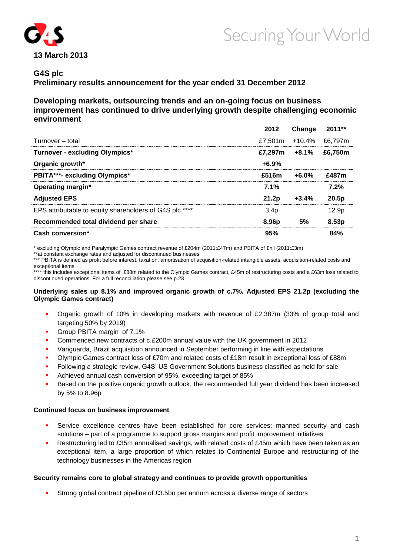

# Securing Your World

# **G4S plc**

**Preliminary results announcement for the year ended 31 December 2012**

**Developing markets, outsourcing trends and an on-going focus on business improvement has continued to drive underlying growth despite challenging economic environment**

|                                                         | 2012             | Change   | 2011**            |
|---------------------------------------------------------|------------------|----------|-------------------|
| Turnover - total                                        | £7.501m          | $+10.4%$ | £6.797m           |
| <b>Turnover - excluding Olympics*</b>                   | £7.297m          | $+8.1\%$ | £6,750m           |
| Organic growth*                                         | $+6.9%$          |          |                   |
| <b>PBITA***- excluding Olympics*</b>                    | £516m            | $+6.0%$  | £487m             |
| Operating margin*                                       | 7.1%             |          | 7.2%              |
| <b>Adjusted EPS</b>                                     | 21.2p            | $+3.4%$  | 20.5p             |
| EPS attributable to equity shareholders of G4S plc **** | 3.4 <sub>p</sub> |          | 12.9 <sub>p</sub> |
| Recommended total dividend per share                    | 8.96p            | 5%       | 8.53p             |
| Cash conversion*                                        | 95%              |          | 84%               |

\* excluding Olympic and Paralympic Games contract revenue of £204m (2011:£47m) and PBITA of £nil (2011:£3m)

\*\*at constant exchange rates and adjusted for discontinued businesses

\*\*\* PBITA is defined as profit before interest, taxation, amortisation of acquisition-related intangible assets, acquisition-related costs and exceptional items

\*\*\*\* this includes exceptional items of £88m related to the Olympic Games contract, £45m of restructuring costs and a £63m loss related to discontinued operations. For a full reconciliation please see p.23

## **Underlying sales up 8.1% and improved organic growth of c.7%. Adjusted EPS 21.2p (excluding the Olympic Games contract)**

- Organic growth of 10% in developing markets with revenue of £2,387m (33% of group total and targeting 50% by 2019)
- Group PBITA margin of 7.1%
- Commenced new contracts of c.£200m annual value with the UK government in 2012
- Vanguarda, Brazil acquisition announced in September performing in line with expectations
- Olympic Games contract loss of £70m and related costs of £18m result in exceptional loss of £88m
- Following a strategic review, G4S' US Government Solutions business classified as held for sale
- Achieved annual cash conversion of 95%, exceeding target of 85%
- Based on the positive organic growth outlook, the recommended full year dividend has been increased by 5% to 8.96p

# **Continued focus on business improvement**

- Service excellence centres have been established for core services: manned security and cash solutions – part of a programme to support gross margins and profit improvement initiatives
- Restructuring led to £35m annualised savings, with related costs of £45m which have been taken as an exceptional item, a large proportion of which relates to Continental Europe and restructuring of the technology businesses in the Americas region

# **Security remains core to global strategy and continues to provide growth opportunities**

Strong global contract pipeline of £3.5bn per annum across a diverse range of sectors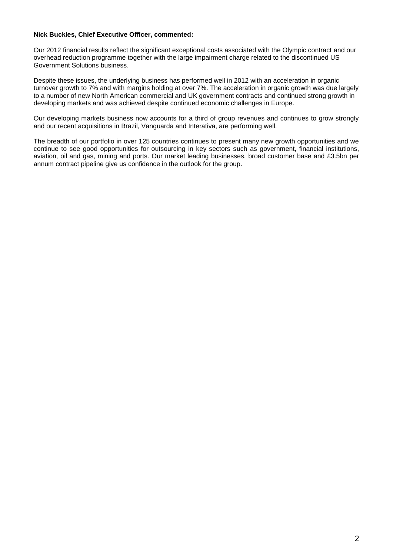## **Nick Buckles, Chief Executive Officer, commented:**

Our 2012 financial results reflect the significant exceptional costs associated with the Olympic contract and our overhead reduction programme together with the large impairment charge related to the discontinued US Government Solutions business.

Despite these issues, the underlying business has performed well in 2012 with an acceleration in organic turnover growth to 7% and with margins holding at over 7%. The acceleration in organic growth was due largely to a number of new North American commercial and UK government contracts and continued strong growth in developing markets and was achieved despite continued economic challenges in Europe.

Our developing markets business now accounts for a third of group revenues and continues to grow strongly and our recent acquisitions in Brazil, Vanguarda and Interativa, are performing well.

The breadth of our portfolio in over 125 countries continues to present many new growth opportunities and we continue to see good opportunities for outsourcing in key sectors such as government, financial institutions, aviation, oil and gas, mining and ports. Our market leading businesses, broad customer base and £3.5bn per annum contract pipeline give us confidence in the outlook for the group.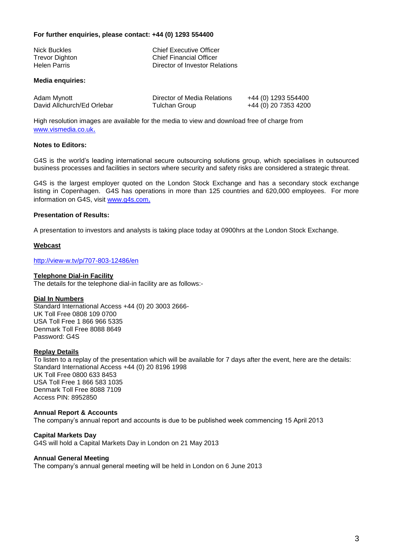## **For further enquiries, please contact: +44 (0) 1293 554400**

| Nick Buckles   | <b>Chief Executive Officer</b> |
|----------------|--------------------------------|
| Trevor Dighton | <b>Chief Financial Officer</b> |
| Helen Parris   | Director of Investor Relations |
|                |                                |

## **Media enquiries:**

| Adam Mynott                | Director of Media Relations | +44 (0) 1293 554400  |
|----------------------------|-----------------------------|----------------------|
| David Allchurch/Ed Orlebar | Tulchan Group               | +44 (0) 20 7353 4200 |

High resolution images are available for the media to view and download free of charge from [www.vismedia.co.uk](file://www.vismedia.co.uk).

# **Notes to Editors:**

G4S is the world's leading international secure outsourcing solutions group, which specialises in outsourced business processes and facilities in sectors where security and safety risks are considered a strategic threat.

G4S is the largest employer quoted on the London Stock Exchange and has a secondary stock exchange listing in Copenhagen. G4S has operations in more than 125 countries and 620,000 employees. For more information on G4S, visit [www.g4s.com](http://www.g4s.com/).

## **Presentation of Results:**

A presentation to investors and analysts is taking place today at 0900hrs at the London Stock Exchange.

## **Webcast**

<http://view-w.tv/p/707-803-12486/en>

## **Telephone Dial-in Facility**

The details for the telephone dial-in facility are as follows:-

## **Dial In Numbers**

Standard International Access +44 (0) 20 3003 2666- UK Toll Free 0808 109 0700 USA Toll Free 1 866 966 5335 Denmark Toll Free 8088 8649 Password: G4S

## **Replay Details**

To listen to a replay of the presentation which will be available for 7 days after the event, here are the details: Standard International Access +44 (0) 20 8196 1998 UK Toll Free 0800 633 8453 USA Toll Free 1 866 583 1035 Denmark Toll Free 8088 7109 Access PIN: 8952850

## **Annual Report & Accounts**

The company's annual report and accounts is due to be published week commencing 15 April 2013

#### **Capital Markets Day** G4S will hold a Capital Markets Day in London on 21 May 2013

## **Annual General Meeting**

The company's annual general meeting will be held in London on 6 June 2013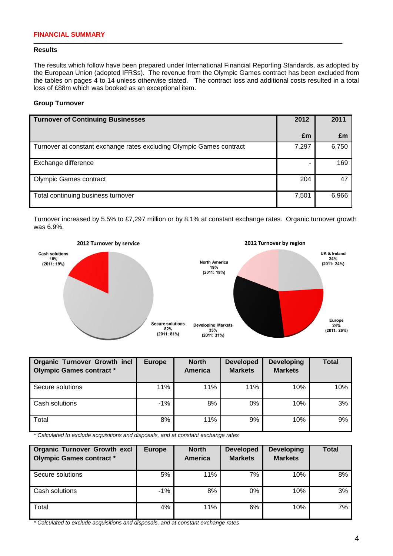## **Results**

The results which follow have been prepared under International Financial Reporting Standards, as adopted by the European Union (adopted IFRSs). The revenue from the Olympic Games contract has been excluded from the tables on pages 4 to 14 unless otherwise stated. The contract loss and additional costs resulted in a total loss of £88m which was booked as an exceptional item.

# **Group Turnover**

| <b>Turnover of Continuing Businesses</b>                             | 2012  | 2011  |
|----------------------------------------------------------------------|-------|-------|
|                                                                      | £m    | £m    |
| Turnover at constant exchange rates excluding Olympic Games contract | 7,297 | 6,750 |
| Exchange difference                                                  |       | 169   |
| <b>Olympic Games contract</b>                                        | 204   | 47    |
| Total continuing business turnover                                   | 7,501 | 6,966 |

Turnover increased by 5.5% to £7,297 million or by 8.1% at constant exchange rates. Organic turnover growth was 6.9%.



| <b>Organic Turnover Growth incl</b><br><b>Olympic Games contract *</b> | <b>Europe</b> | <b>North</b><br><b>America</b> | <b>Developed</b><br><b>Markets</b> | <b>Developing</b><br><b>Markets</b> | <b>Total</b> |
|------------------------------------------------------------------------|---------------|--------------------------------|------------------------------------|-------------------------------------|--------------|
| Secure solutions                                                       | 11%           | 11%                            | 11%                                | 10%                                 | 10%          |
| Cash solutions                                                         | $-1\%$        | 8%                             | $0\%$                              | 10%                                 | 3%           |
| Total                                                                  | 8%            | 11%                            | 9%                                 | 10%                                 | 9%           |

*\* Calculated to exclude acquisitions and disposals, and at constant exchange rates*

| <b>Organic Turnover Growth excl</b><br><b>Olympic Games contract *</b> | <b>Europe</b> | <b>North</b><br><b>America</b> | <b>Developed</b><br><b>Markets</b> | <b>Developing</b><br><b>Markets</b> | <b>Total</b> |
|------------------------------------------------------------------------|---------------|--------------------------------|------------------------------------|-------------------------------------|--------------|
| Secure solutions                                                       | 5%            | 11%                            | 7%                                 | 10%                                 | 8%           |
| Cash solutions                                                         | $-1%$         | 8%                             | 0%                                 | 10%                                 | 3%           |
| Total                                                                  | 4%            | 11%                            | 6%                                 | 10%                                 | 7%           |

*\* Calculated to exclude acquisitions and disposals, and at constant exchange rates*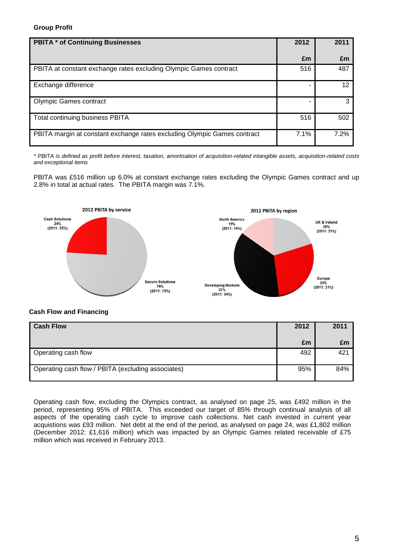# **Group Profit**

| <b>PBITA * of Continuing Businesses</b>                                  | 2012 | 2011              |
|--------------------------------------------------------------------------|------|-------------------|
|                                                                          | £m   | £m                |
| PBITA at constant exchange rates excluding Olympic Games contract        | 516  | 487               |
| Exchange difference                                                      |      | $12 \overline{ }$ |
| <b>Olympic Games contract</b>                                            |      | 3                 |
| Total continuing business PBITA                                          | 516  | 502               |
| PBITA margin at constant exchange rates excluding Olympic Games contract | 7.1% | 7.2%              |

*\* PBITA is defined as profit before interest, taxation, amortisation of acquisition-related intangible assets, acquisition-related costs and exceptional items*

PBITA was £516 million up 6.0% at constant exchange rates excluding the Olympic Games contract and up 2.8% in total at actual rates. The PBITA margin was 7.1%.



# **Cash Flow and Financing**

| <b>Cash Flow</b>                                   | 2012 | 2011 |
|----------------------------------------------------|------|------|
|                                                    | £m   | £m   |
| Operating cash flow                                | 492  | 421  |
| Operating cash flow / PBITA (excluding associates) | 95%  | 84%  |

Operating cash flow, excluding the Olympics contract, as analysed on page 25, was £492 million in the period, representing 95% of PBITA. This exceeded our target of 85% through continual analysis of all aspects of the operating cash cycle to improve cash collections. Net cash invested in current year acquistions was £93 million. Net debt at the end of the period, as analysed on page 24, was £1,802 million (December 2012: £1,616 million) which was impacted by an Olympic Games related receivable of £75 million which was received in February 2013.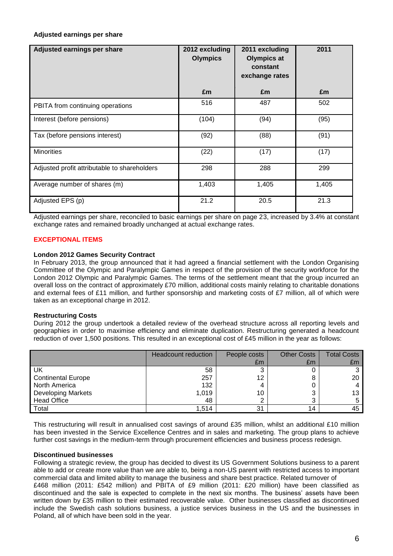# **Adjusted earnings per share**

| Adjusted earnings per share                  | 2012 excluding<br><b>Olympics</b> | 2011 excluding<br><b>Olympics at</b><br>constant<br>exchange rates | 2011  |
|----------------------------------------------|-----------------------------------|--------------------------------------------------------------------|-------|
|                                              | £m                                | £m                                                                 | £m    |
| PBITA from continuing operations             | 516                               | 487                                                                | 502   |
| Interest (before pensions)                   | (104)                             | (94)                                                               | (95)  |
| Tax (before pensions interest)               | (92)                              | (88)                                                               | (91)  |
| <b>Minorities</b>                            | (22)                              | (17)                                                               | (17)  |
| Adjusted profit attributable to shareholders | 298                               | 288                                                                | 299   |
| Average number of shares (m)                 | 1,403                             | 1,405                                                              | 1,405 |
| Adjusted EPS (p)                             | 21.2                              | 20.5                                                               | 21.3  |

Adjusted earnings per share, reconciled to basic earnings per share on page 23, increased by 3.4% at constant exchange rates and remained broadly unchanged at actual exchange rates.

# **EXCEPTIONAL ITEMS**

## **London 2012 Games Security Contract**

In February 2013, the group announced that it had agreed a financial settlement with the London Organising Committee of the Olympic and Paralympic Games in respect of the provision of the security workforce for the London 2012 Olympic and Paralympic Games. The terms of the settlement meant that the group incurred an overall loss on the contract of approximately £70 million, additional costs mainly relating to charitable donations and external fees of £11 million, and further sponsorship and marketing costs of £7 million, all of which were taken as an exceptional charge in 2012.

# **Restructuring Costs**

During 2012 the group undertook a detailed review of the overhead structure across all reporting levels and geographies in order to maximise efficiency and eliminate duplication. Restructuring generated a headcount reduction of over 1,500 positions. This resulted in an exceptional cost of £45 million in the year as follows:

|                           | <b>Headcount reduction</b> | People costs | <b>Other Costs</b> | <b>Total Costs</b> |
|---------------------------|----------------------------|--------------|--------------------|--------------------|
|                           |                            | £m           | £m                 | £m                 |
| UK                        | 58                         | ◠            |                    |                    |
| <b>Continental Europe</b> | 257                        | 12           |                    | 20                 |
| North America             | 132                        | 4            |                    |                    |
| <b>Developing Markets</b> | 1,019                      | 10           |                    |                    |
| <b>Head Office</b>        | 48                         | ⌒            |                    |                    |
| Total                     | 1,514                      | 31           | 14                 |                    |

This restructuring will result in annualised cost savings of around £35 million, whilst an additional £10 million has been invested in the Service Excellence Centres and in sales and marketing. The group plans to achieve further cost savings in the medium-term through procurement efficiencies and business process redesign.

## **Discontinued businesses**

Following a strategic review, the group has decided to divest its US Government Solutions business to a parent able to add or create more value than we are able to, being a non-US parent with restricted access to important commercial data and limited ability to manage the business and share best practice. Related turnover of £468 million (2011: £542 million) and PBITA of £9 million (2011: £20 million) have been classified as discontinued and the sale is expected to complete in the next six months. The business' assets have been written down by £35 million to their estimated recoverable value. Other businesses classified as discontinued include the Swedish cash solutions business, a justice services business in the US and the businesses in Poland, all of which have been sold in the year.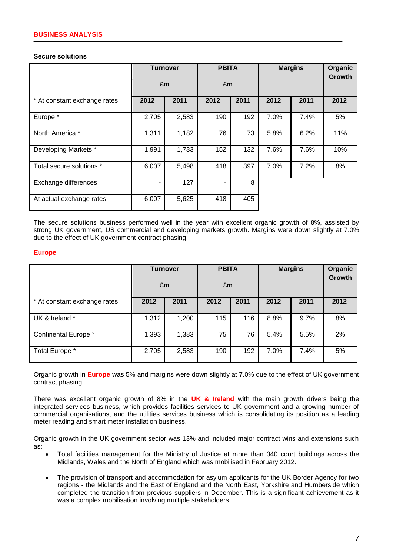#### **Secure solutions**

|                              |       | <b>Turnover</b><br>£m |      | <b>PBITA</b><br>£m |      | <b>Margins</b> |      |
|------------------------------|-------|-----------------------|------|--------------------|------|----------------|------|
| * At constant exchange rates | 2012  | 2011                  | 2012 | 2011               | 2012 | 2011           | 2012 |
| Europe *                     | 2,705 | 2,583                 | 190  | 192                | 7.0% | 7.4%           | 5%   |
| North America *              | 1,311 | 1,182                 | 76   | 73                 | 5.8% | 6.2%           | 11%  |
| Developing Markets *         | 1,991 | 1,733                 | 152  | 132                | 7.6% | 7.6%           | 10%  |
| Total secure solutions *     | 6,007 | 5,498                 | 418  | 397                | 7.0% | 7.2%           | 8%   |
| Exchange differences         |       | 127                   |      | 8                  |      |                |      |
| At actual exchange rates     | 6,007 | 5,625                 | 418  | 405                |      |                |      |

The secure solutions business performed well in the year with excellent organic growth of 8%, assisted by strong UK government, US commercial and developing markets growth. Margins were down slightly at 7.0% due to the effect of UK government contract phasing.

## **Europe**

|                              | <b>Turnover</b><br>£m |       | <b>PBITA</b><br>£m |      | <b>Margins</b> |      | Organic<br>Growth |
|------------------------------|-----------------------|-------|--------------------|------|----------------|------|-------------------|
| * At constant exchange rates | 2012                  | 2011  | 2012               | 2011 | 2012           | 2011 | 2012              |
| UK & Ireland *               | 1,312                 | 1,200 | 115                | 116  | 8.8%           | 9.7% | 8%                |
| Continental Europe *         | 1,393                 | 1,383 | 75                 | 76   | 5.4%           | 5.5% | 2%                |
| Total Europe *               | 2,705                 | 2,583 | 190                | 192  | 7.0%           | 7.4% | 5%                |

Organic growth in **Europe** was 5% and margins were down slightly at 7.0% due to the effect of UK government contract phasing.

There was excellent organic growth of 8% in the **UK & Ireland** with the main growth drivers being the integrated services business, which provides facilities services to UK government and a growing number of commercial organisations, and the utilities services business which is consolidating its position as a leading meter reading and smart meter installation business.

Organic growth in the UK government sector was 13% and included major contract wins and extensions such as:

- Total facilities management for the Ministry of Justice at more than 340 court buildings across the Midlands, Wales and the North of England which was mobilised in February 2012.
- The provision of transport and accommodation for asylum applicants for the UK Border Agency for two regions - the Midlands and the East of England and the North East, Yorkshire and Humberside which completed the transition from previous suppliers in December. This is a significant achievement as it was a complex mobilisation involving multiple stakeholders.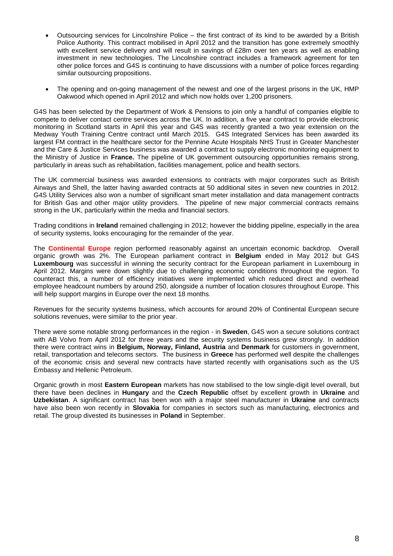- Outsourcing services for Lincolnshire Police the first contract of its kind to be awarded by a British Police Authority. This contract mobilised in April 2012 and the transition has gone extremely smoothly with excellent service delivery and will result in savings of £28m over ten years as well as enabling investment in new technologies. The Lincolnshire contract includes a framework agreement for ten other police forces and G4S is continuing to have discussions with a number of police forces regarding similar outsourcing propositions.
- The opening and on-going management of the newest and one of the largest prisons in the UK, HMP Oakwood which opened in April 2012 and which now holds over 1,200 prisoners.

G4S has been selected by the Department of Work & Pensions to join only a handful of companies eligible to compete to deliver contact centre services across the UK. In addition, a five year contract to provide electronic monitoring in Scotland starts in April this year and G4S was recently granted a two year extension on the Medway Youth Training Centre contract until March 2015. G4S Integrated Services has been awarded its largest FM contract in the healthcare sector for the Pennine Acute Hospitals NHS Trust in Greater Manchester and the Care & Justice Services business was awarded a contract to supply electronic monitoring equipment to the Ministry of Justice in **France.** The pipeline of UK government outsourcing opportunities remains strong, particularly in areas such as rehabilitation, facilities management, police and health sectors.

The UK commercial business was awarded extensions to contracts with major corporates such as British Airways and Shell, the latter having awarded contracts at 50 additional sites in seven new countries in 2012. G4S Utility Services also won a number of significant smart meter installation and data management contracts for British Gas and other major utility providers. The pipeline of new major commercial contracts remains strong in the UK, particularly within the media and financial sectors.

Trading conditions in **Ireland** remained challenging in 2012; however the bidding pipeline, especially in the area of security systems, looks encouraging for the remainder of the year.

The **Continental Europe** region performed reasonably against an uncertain economic backdrop. Overall organic growth was 2%. The European parliament contract in **Belgium** ended in May 2012 but G4S **Luxembourg** was successful in winning the security contract for the European parliament in Luxembourg in April 2012. Margins were down slightly due to challenging economic conditions throughout the region. To counteract this, a number of efficiency initiatives were implemented which reduced direct and overhead employee headcount numbers by around 250, alongside a number of location closures throughout Europe. This will help support margins in Europe over the next 18 months.

Revenues for the security systems business, which accounts for around 20% of Continental European secure solutions revenues, were similar to the prior year.

There were some notable strong performances in the region - in **Sweden**, G4S won a secure solutions contract with AB Volvo from April 2012 for three years and the security systems business grew strongly. In addition there were contract wins in **Belgium, Norway, Finland, Austria** and **Denmark** for customers in government, retail, transportation and telecoms sectors. The business in **Greece** has performed well despite the challenges of the economic crisis and several new contracts have started recently with organisations such as the US Embassy and Hellenic Petroleum.

Organic growth in most **Eastern European** markets has now stabilised to the low single-digit level overall, but there have been declines in **Hungary** and the **Czech Republic** offset by excellent growth in **Ukraine** and **Uzbekistan**. A significant contract has been won with a major steel manufacturer in **Ukraine** and contracts have also been won recently in **Slovakia** for companies in sectors such as manufacturing, electronics and retail. The group divested its businesses in **Poland** in September.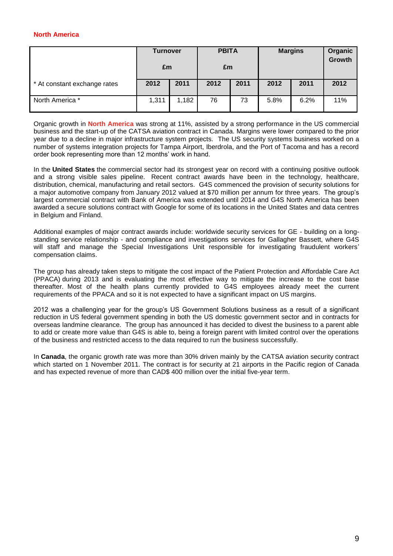# **North America**

|                              | <b>Turnover</b><br>£m |       | <b>PBITA</b><br>£m |      | <b>Margins</b> |      |      | Organic<br><b>Growth</b> |
|------------------------------|-----------------------|-------|--------------------|------|----------------|------|------|--------------------------|
| * At constant exchange rates | 2012                  | 2011  | 2012               | 2011 | 2012           | 2011 | 2012 |                          |
| North America *              | 1,311                 | 1,182 | 76                 | 73   | 5.8%           | 6.2% | 11%  |                          |

Organic growth in **North America** was strong at 11%, assisted by a strong performance in the US commercial business and the start-up of the CATSA aviation contract in Canada. Margins were lower compared to the prior year due to a decline in major infrastructure system projects. The US security systems business worked on a number of systems integration projects for Tampa Airport, Iberdrola, and the Port of Tacoma and has a record order book representing more than 12 months' work in hand.

In the **United States** the commercial sector had its strongest year on record with a continuing positive outlook and a strong visible sales pipeline. Recent contract awards have been in the technology, healthcare, distribution, chemical, manufacturing and retail sectors. G4S commenced the provision of security solutions for a major automotive company from January 2012 valued at \$70 million per annum for three years. The group's largest commercial contract with Bank of America was extended until 2014 and G4S North America has been awarded a secure solutions contract with Google for some of its locations in the United States and data centres in Belgium and Finland.

Additional examples of major contract awards include: worldwide security services for GE - building on a longstanding service relationship - and compliance and investigations services for Gallagher Bassett, where G4S will staff and manage the Special Investigations Unit responsible for investigating fraudulent workers' compensation claims.

The group has already taken steps to mitigate the cost impact of the Patient Protection and Affordable Care Act (PPACA) during 2013 and is evaluating the most effective way to mitigate the increase to the cost base thereafter. Most of the health plans currently provided to G4S employees already meet the current requirements of the PPACA and so it is not expected to have a significant impact on US margins.

2012 was a challenging year for the group's US Government Solutions business as a result of a significant reduction in US federal government spending in both the US domestic government sector and in contracts for overseas landmine clearance. The group has announced it has decided to divest the business to a parent able to add or create more value than G4S is able to, being a foreign parent with limited control over the operations of the business and restricted access to the data required to run the business successfully.

In **Canada**, the organic growth rate was more than 30% driven mainly by the CATSA aviation security contract which started on 1 November 2011. The contract is for security at 21 airports in the Pacific region of Canada and has expected revenue of more than CAD\$ 400 million over the initial five-year term.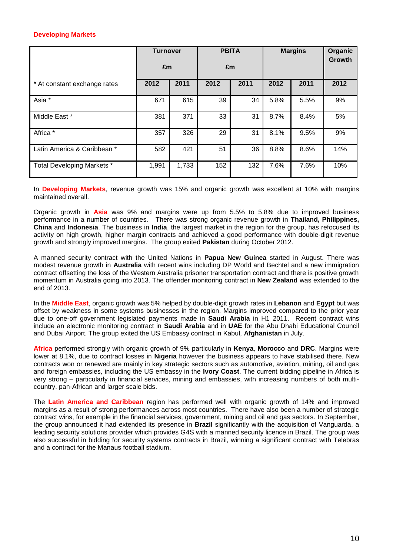# **Developing Markets**

|                              | <b>Turnover</b><br>£m |       | <b>PBITA</b><br>£m |      | <b>Margins</b> |      | Organic<br><b>Growth</b> |
|------------------------------|-----------------------|-------|--------------------|------|----------------|------|--------------------------|
| * At constant exchange rates | 2012                  | 2011  | 2012               | 2011 | 2012           | 2011 | 2012                     |
| Asia *                       | 671                   | 615   | 39                 | 34   | 5.8%           | 5.5% | 9%                       |
| Middle East *                | 381                   | 371   | 33                 | 31   | 8.7%           | 8.4% | 5%                       |
| Africa *                     | 357                   | 326   | 29                 | 31   | 8.1%           | 9.5% | 9%                       |
| Latin America & Caribbean *  | 582                   | 421   | 51                 | 36   | 8.8%           | 8.6% | 14%                      |
| Total Developing Markets *   | 1,991                 | 1,733 | 152                | 132  | 7.6%           | 7.6% | 10%                      |

In **Developing Markets**, revenue growth was 15% and organic growth was excellent at 10% with margins maintained overall.

Organic growth in **Asia** was 9% and margins were up from 5.5% to 5.8% due to improved business performance in a number of countries. There was strong organic revenue growth in **Thailand, Philippines, China** and **Indonesia**. The business in **India**, the largest market in the region for the group, has refocused its activity on high growth, higher margin contracts and achieved a good performance with double-digit revenue growth and strongly improved margins. The group exited **Pakistan** during October 2012.

A manned security contract with the United Nations in **Papua New Guinea** started in August. There was modest revenue growth in **Australia** with recent wins including DP World and Bechtel and a new immigration contract offsetting the loss of the Western Australia prisoner transportation contract and there is positive growth momentum in Australia going into 2013. The offender monitoring contract in **New Zealand** was extended to the end of 2013.

In the **Middle East**, organic growth was 5% helped by double-digit growth rates in **Lebanon** and **Egypt** but was offset by weakness in some systems businesses in the region. Margins improved compared to the prior year due to one-off government legislated payments made in **Saudi Arabia** in H1 2011. Recent contract wins include an electronic monitoring contract in **Saudi Arabia** and in **UAE** for the Abu Dhabi Educational Council and Dubai Airport. The group exited the US Embassy contract in Kabul, **Afghanistan** in July.

**Africa** performed strongly with organic growth of 9% particularly in **Kenya**, **Morocco** and **DRC**. Margins were lower at 8.1%, due to contract losses in **Nigeria** however the business appears to have stabilised there. New contracts won or renewed are mainly in key strategic sectors such as automotive, aviation, mining, oil and gas and foreign embassies, including the US embassy in the **Ivory Coast**. The current bidding pipeline in Africa is very strong – particularly in financial services, mining and embassies, with increasing numbers of both multicountry, pan-African and larger scale bids.

The **Latin America and Caribbean** region has performed well with organic growth of 14% and improved margins as a result of strong performances across most countries. There have also been a number of strategic contract wins, for example in the financial services, government, mining and oil and gas sectors. In September, the group announced it had extended its presence in **Brazil** significantly with the acquisition of Vanguarda, a leading security solutions provider which provides G4S with a manned security licence in Brazil. The group was also successful in bidding for security systems contracts in Brazil, winning a significant contract with Telebras and a contract for the Manaus football stadium.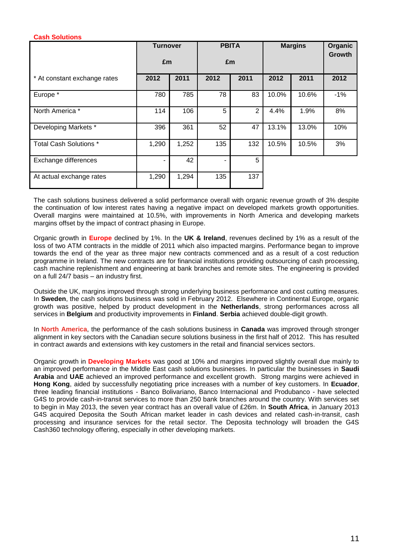# **Cash Solutions**

|                              | <b>Turnover</b> |       | <b>PBITA</b> |                | <b>Margins</b> |       | Organic<br><b>Growth</b> |
|------------------------------|-----------------|-------|--------------|----------------|----------------|-------|--------------------------|
|                              | £m              |       | £m           |                |                |       |                          |
| * At constant exchange rates | 2012            | 2011  | 2012         | 2011           | 2012           | 2011  | 2012                     |
| Europe *                     | 780             | 785   | 78           | 83             | 10.0%          | 10.6% | $-1%$                    |
| North America *              | 114             | 106   | 5            | $\overline{2}$ | 4.4%           | 1.9%  | 8%                       |
| Developing Markets *         | 396             | 361   | 52           | 47             | 13.1%          | 13.0% | 10%                      |
| Total Cash Solutions *       | 1,290           | 1,252 | 135          | 132            | 10.5%          | 10.5% | 3%                       |
| Exchange differences         |                 | 42    | ٠            | 5              |                |       |                          |
| At actual exchange rates     | 1,290           | 1,294 | 135          | 137            |                |       |                          |

The cash solutions business delivered a solid performance overall with organic revenue growth of 3% despite the continuation of low interest rates having a negative impact on developed markets growth opportunities. Overall margins were maintained at 10.5%, with improvements in North America and developing markets margins offset by the impact of contract phasing in Europe.

Organic growth in **Europe** declined by 1%. In the **UK & Ireland**, revenues declined by 1% as a result of the loss of two ATM contracts in the middle of 2011 which also impacted margins. Performance began to improve towards the end of the year as three major new contracts commenced and as a result of a cost reduction programme in Ireland. The new contracts are for financial institutions providing outsourcing of cash processing, cash machine replenishment and engineering at bank branches and remote sites. The engineering is provided on a full 24/7 basis – an industry first.

Outside the UK, margins improved through strong underlying business performance and cost cutting measures. In **Sweden**, the cash solutions business was sold in February 2012. Elsewhere in Continental Europe, organic growth was positive, helped by product development in the **Netherlands**, strong performances across all services in **Belgium** and productivity improvements in **Finland**. **Serbia** achieved double-digit growth.

In **North America**, the performance of the cash solutions business in **Canada** was improved through stronger alignment in key sectors with the Canadian secure solutions business in the first half of 2012. This has resulted in contract awards and extensions with key customers in the retail and financial services sectors.

Organic growth in **Developing Markets** was good at 10% and margins improved slightly overall due mainly to an improved performance in the Middle East cash solutions businesses. In particular the businesses in **Saudi Arabia** and **UAE** achieved an improved performance and excellent growth. Strong margins were achieved in **Hong Kong**, aided by successfully negotiating price increases with a number of key customers. In **Ecuador**, three leading financial institutions - Banco Bolivariano, Banco Internacional and Produbanco - have selected G4S to provide cash-in-transit services to more than 250 bank branches around the country. With services set to begin in May 2013, the seven year contract has an overall value of £26m. In **South Africa**, in January 2013 G4S acquired Deposita the South African market leader in cash devices and related cash-in-transit, cash processing and insurance services for the retail sector. The Deposita technology will broaden the G4S Cash360 technology offering, especially in other developing markets.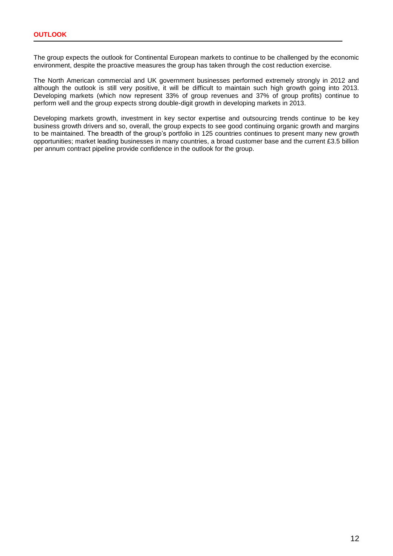The group expects the outlook for Continental European markets to continue to be challenged by the economic environment, despite the proactive measures the group has taken through the cost reduction exercise.

The North American commercial and UK government businesses performed extremely strongly in 2012 and although the outlook is still very positive, it will be difficult to maintain such high growth going into 2013. Developing markets (which now represent 33% of group revenues and 37% of group profits) continue to perform well and the group expects strong double-digit growth in developing markets in 2013.

Developing markets growth, investment in key sector expertise and outsourcing trends continue to be key business growth drivers and so, overall, the group expects to see good continuing organic growth and margins to be maintained. The breadth of the group's portfolio in 125 countries continues to present many new growth opportunities; market leading businesses in many countries, a broad customer base and the current £3.5 billion per annum contract pipeline provide confidence in the outlook for the group.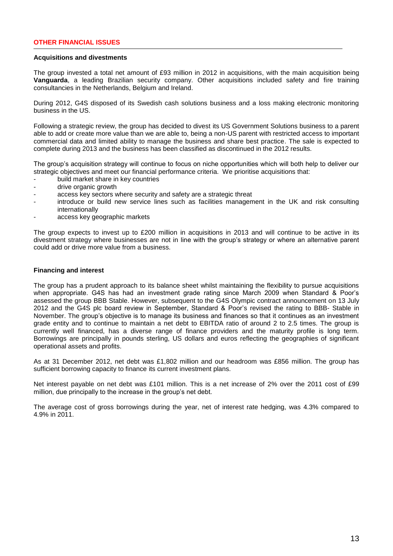# **OTHER FINANCIAL ISSUES**

## **Acquisitions and divestments**

The group invested a total net amount of £93 million in 2012 in acquisitions, with the main acquisition being **Vanguarda**, a leading Brazilian security company. Other acquisitions included safety and fire training consultancies in the Netherlands, Belgium and Ireland.

During 2012, G4S disposed of its Swedish cash solutions business and a loss making electronic monitoring business in the US.

Following a strategic review, the group has decided to divest its US Government Solutions business to a parent able to add or create more value than we are able to, being a non-US parent with restricted access to important commercial data and limited ability to manage the business and share best practice. The sale is expected to complete during 2013 and the business has been classified as discontinued in the 2012 results.

The group's acquisition strategy will continue to focus on niche opportunities which will both help to deliver our strategic objectives and meet our financial performance criteria. We prioritise acquisitions that:

- build market share in key countries
- drive organic growth
- access key sectors where security and safety are a strategic threat
- introduce or build new service lines such as facilities management in the UK and risk consulting internationally
- access key geographic markets

The group expects to invest up to £200 million in acquisitions in 2013 and will continue to be active in its divestment strategy where businesses are not in line with the group's strategy or where an alternative parent could add or drive more value from a business.

## **Financing and interest**

The group has a prudent approach to its balance sheet whilst maintaining the flexibility to pursue acquisitions when appropriate. G4S has had an investment grade rating since March 2009 when Standard & Poor's assessed the group BBB Stable. However, subsequent to the G4S Olympic contract announcement on 13 July 2012 and the G4S plc board review in September, Standard & Poor's revised the rating to BBB- Stable in November. The group's objective is to manage its business and finances so that it continues as an investment grade entity and to continue to maintain a net debt to EBITDA ratio of around 2 to 2.5 times. The group is currently well financed, has a diverse range of finance providers and the maturity profile is long term. Borrowings are principally in pounds sterling, US dollars and euros reflecting the geographies of significant operational assets and profits.

As at 31 December 2012, net debt was £1,802 million and our headroom was £856 million. The group has sufficient borrowing capacity to finance its current investment plans.

Net interest payable on net debt was £101 million. This is a net increase of 2% over the 2011 cost of £99 million, due principally to the increase in the group's net debt.

The average cost of gross borrowings during the year, net of interest rate hedging, was 4.3% compared to 4.9% in 2011.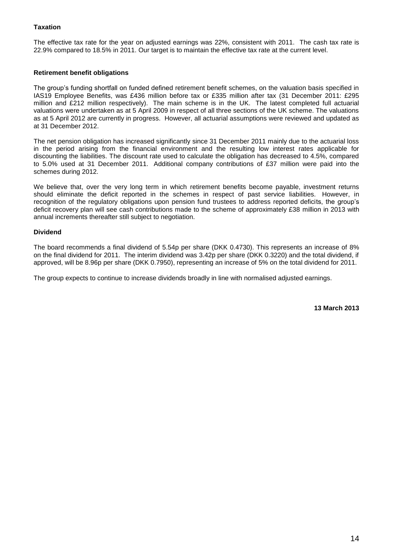# **Taxation**

The effective tax rate for the year on adjusted earnings was 22%, consistent with 2011. The cash tax rate is 22.9% compared to 18.5% in 2011. Our target is to maintain the effective tax rate at the current level.

# **Retirement benefit obligations**

The group's funding shortfall on funded defined retirement benefit schemes, on the valuation basis specified in IAS19 Employee Benefits, was £436 million before tax or £335 million after tax (31 December 2011: £295 million and £212 million respectively). The main scheme is in the UK. The latest completed full actuarial valuations were undertaken as at 5 April 2009 in respect of all three sections of the UK scheme. The valuations as at 5 April 2012 are currently in progress. However, all actuarial assumptions were reviewed and updated as at 31 December 2012.

The net pension obligation has increased significantly since 31 December 2011 mainly due to the actuarial loss in the period arising from the financial environment and the resulting low interest rates applicable for discounting the liabilities. The discount rate used to calculate the obligation has decreased to 4.5%, compared to 5.0% used at 31 December 2011. Additional company contributions of £37 million were paid into the schemes during 2012.

We believe that, over the very long term in which retirement benefits become payable, investment returns should eliminate the deficit reported in the schemes in respect of past service liabilities. However, in recognition of the regulatory obligations upon pension fund trustees to address reported deficits, the group's deficit recovery plan will see cash contributions made to the scheme of approximately £38 million in 2013 with annual increments thereafter still subject to negotiation.

# **Dividend**

The board recommends a final dividend of 5.54p per share (DKK 0.4730). This represents an increase of 8% on the final dividend for 2011. The interim dividend was 3.42p per share (DKK 0.3220) and the total dividend, if approved, will be 8.96p per share (DKK 0.7950), representing an increase of 5% on the total dividend for 2011.

The group expects to continue to increase dividends broadly in line with normalised adjusted earnings.

**13 March 2013**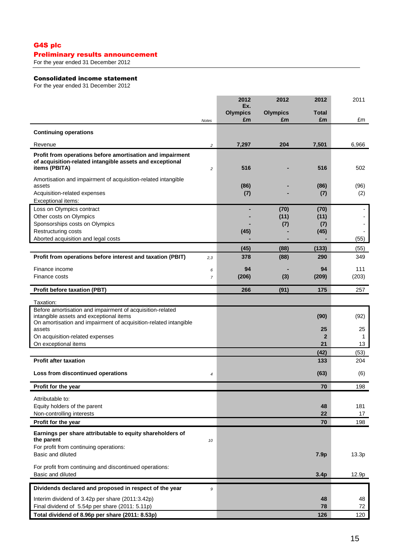# G4S plc Preliminary results announcement

For the year ended 31 December 2012

# Consolidated income statement

For the year ended 31 December 2012

|                                                                                                                       |                | 2012<br>Ex.     | 2012            | 2012           | 2011     |
|-----------------------------------------------------------------------------------------------------------------------|----------------|-----------------|-----------------|----------------|----------|
|                                                                                                                       |                | <b>Olympics</b> | <b>Olympics</b> | Total          |          |
|                                                                                                                       | <b>Notes</b>   | £m              | £m              | £m             | £m       |
| <b>Continuing operations</b>                                                                                          |                |                 |                 |                |          |
| Revenue                                                                                                               | $\overline{c}$ | 7,297           | 204             | 7,501          | 6,966    |
| Profit from operations before amortisation and impairment<br>of acquisition-related intangible assets and exceptional |                |                 |                 |                |          |
| items (PBITA)                                                                                                         | $\overline{c}$ | 516             |                 | 516            | 502      |
| Amortisation and impairment of acquisition-related intangible<br>assets                                               |                | (86)            |                 | (86)           | (96)     |
| Acquisition-related expenses<br>Exceptional items:                                                                    |                | (7)             |                 | (7)            | (2)      |
| Loss on Olympics contract                                                                                             |                |                 | (70)            | (70)           |          |
| Other costs on Olympics                                                                                               |                |                 | (11)            | (11)           |          |
| Sponsorships costs on Olympics                                                                                        |                |                 | (7)             | (7)            |          |
| Restructuring costs                                                                                                   |                | (45)            |                 | (45)           |          |
| Aborted acquisition and legal costs                                                                                   |                |                 |                 |                | (55)     |
|                                                                                                                       |                | (45)            | (88)            | (133)          | (55)     |
| Profit from operations before interest and taxation (PBIT)                                                            | 2,3            | 378             | (88)            | 290            | 349      |
| Finance income                                                                                                        | 6              | 94              |                 | 94             | 111      |
| Finance costs                                                                                                         | $\overline{7}$ | (206)           | (3)             | (209)          | (203)    |
| <b>Profit before taxation (PBT)</b>                                                                                   |                | 266             | (91)            | 175            | 257      |
| Taxation:                                                                                                             |                |                 |                 |                |          |
| Before amortisation and impairment of acquisition-related<br>intangible assets and exceptional items                  |                |                 |                 | (90)           | (92)     |
| On amortisation and impairment of acquisition-related intangible<br>assets                                            |                |                 |                 | 25             | 25       |
| On acquisition-related expenses                                                                                       |                |                 |                 | $\overline{2}$ | 1        |
| On exceptional items                                                                                                  |                |                 |                 | 21             | 13       |
|                                                                                                                       |                |                 |                 | (42)           | (53)     |
| <b>Profit after taxation</b>                                                                                          |                |                 |                 | 133            | 204      |
| Loss from discontinued operations                                                                                     | 4              |                 |                 | (63)           | (6)      |
| Profit for the year                                                                                                   |                |                 |                 | 70             | 198      |
| Attributable to:                                                                                                      |                |                 |                 |                |          |
| Equity holders of the parent                                                                                          |                |                 |                 | 48             | 181      |
| Non-controlling interests                                                                                             |                |                 |                 | 22             | 17       |
| Profit for the year                                                                                                   |                |                 |                 | 70             | 198      |
| Earnings per share attributable to equity shareholders of<br>the parent                                               | 10             |                 |                 |                |          |
| For profit from continuing operations:                                                                                |                |                 |                 |                |          |
| Basic and diluted                                                                                                     |                |                 |                 | 7.9p           | 13.3p    |
| For profit from continuing and discontinued operations:<br>Basic and diluted                                          |                |                 |                 | 3.4p           | 12.9p    |
| Dividends declared and proposed in respect of the year                                                                | 9              |                 |                 |                |          |
|                                                                                                                       |                |                 |                 |                |          |
| Interim dividend of 3.42p per share (2011:3.42p)<br>Final dividend of 5.54p per share (2011: 5.11p)                   |                |                 |                 | 48<br>78       | 48<br>72 |
| Total dividend of 8.96p per share (2011: 8.53p)                                                                       |                |                 |                 | 126            | 120      |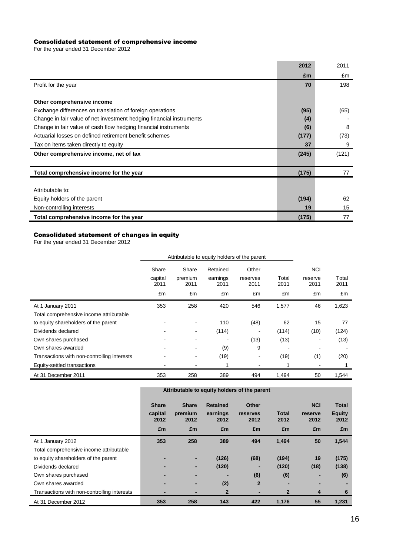# Consolidated statement of comprehensive income

For the year ended 31 December 2012

|                                                                      | 2012  | 2011  |
|----------------------------------------------------------------------|-------|-------|
|                                                                      | £m    | £m    |
| Profit for the year                                                  | 70    | 198   |
|                                                                      |       |       |
| Other comprehensive income                                           |       |       |
| Exchange differences on translation of foreign operations            | (95)  | (65)  |
| Change in fair value of net investment hedging financial instruments | (4)   |       |
| Change in fair value of cash flow hedging financial instruments      | (6)   | 8     |
| Actuarial losses on defined retirement benefit schemes               | (177) | (73)  |
| Tax on items taken directly to equity                                | 37    | 9     |
| Other comprehensive income, net of tax                               | (245) | (121) |
|                                                                      |       |       |
| Total comprehensive income for the year                              | (175) | 77    |
|                                                                      |       |       |
| Attributable to:                                                     |       |       |
| Equity holders of the parent                                         | (194) | 62    |
| Non-controlling interests                                            | 19    | 15    |
| Total comprehensive income for the year                              | (175) | 77    |

# Consolidated statement of changes in equity

For the year ended 31 December 2012

|                                             | Attributable to equity holders of the parent |                          |                  |                          |               |                 |               |
|---------------------------------------------|----------------------------------------------|--------------------------|------------------|--------------------------|---------------|-----------------|---------------|
|                                             | Share                                        | Share                    | Retained         | Other                    |               | <b>NCI</b>      |               |
|                                             | capital<br>2011                              | premium<br>2011          | earnings<br>2011 | reserves<br>2011         | Total<br>2011 | reserve<br>2011 | Total<br>2011 |
|                                             | £m                                           | £m                       | £m               | £m                       | £m            | £m              | £m            |
| At 1 January 2011                           | 353                                          | 258                      | 420              | 546                      | 1,577         | 46              | 1,623         |
| Total comprehensive income attributable     |                                              |                          |                  |                          |               |                 |               |
| to equity shareholders of the parent        |                                              | $\blacksquare$           | 110              | (48)                     | 62            | 15              | 77            |
| Dividends declared                          |                                              | $\overline{\phantom{a}}$ | (114)            | $\blacksquare$           | (114)         | (10)            | (124)         |
| Own shares purchased                        |                                              |                          |                  | (13)                     | (13)          | ٠               | (13)          |
| Own shares awarded                          |                                              | $\overline{\phantom{a}}$ | (9)              | 9                        |               |                 |               |
| Transactions with non-controlling interests |                                              | $\overline{\phantom{a}}$ | (19)             | $\overline{\phantom{a}}$ | (19)          | (1)             | (20)          |
| Equity-settled transactions                 |                                              |                          |                  | $\blacksquare$           |               | ۰               |               |
| At 31 December 2011                         | 353                                          | 258                      | 389              | 494                      | 1,494         | 50              | 1,544         |

|                                             | Attributable to equity holders of the parent |                 |                  |                  |                      |                 |                |
|---------------------------------------------|----------------------------------------------|-----------------|------------------|------------------|----------------------|-----------------|----------------|
|                                             | <b>Share</b>                                 | <b>Share</b>    | <b>Retained</b>  | <b>Other</b>     |                      | <b>NCI</b>      | <b>Total</b>   |
|                                             | capital<br>2012                              | premium<br>2012 | earnings<br>2012 | reserves<br>2012 | <b>Total</b><br>2012 | reserve<br>2012 | Equity<br>2012 |
|                                             | £m                                           | £m              | £m               | £m               | £m                   | £m              | £m             |
| At 1 January 2012                           | 353                                          | 258             | 389              | 494              | 1,494                | 50              | 1,544          |
| Total comprehensive income attributable     |                                              |                 |                  |                  |                      |                 |                |
| to equity shareholders of the parent        |                                              |                 | (126)            | (68)             | (194)                | 19              | (175)          |
| Dividends declared                          |                                              |                 | (120)            |                  | (120)                | (18)            | (138)          |
| Own shares purchased                        |                                              |                 |                  | (6)              | (6)                  | -               | (6)            |
| Own shares awarded                          |                                              |                 | (2)              | $\overline{2}$   |                      |                 |                |
| Transactions with non-controlling interests |                                              |                 | 2                |                  | $\overline{2}$       | 4               | 6              |
| At 31 December 2012                         | 353                                          | 258             | 143              | 422              | 1,176                | 55              | 1,231          |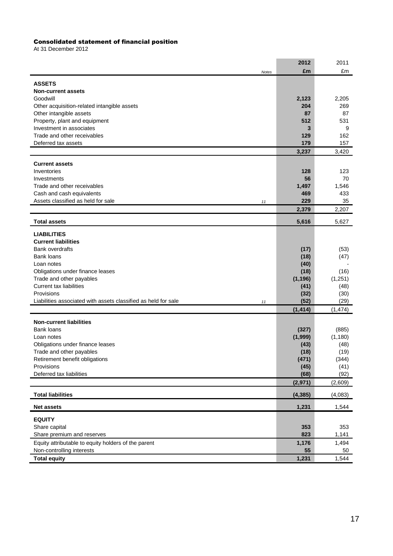#### Consolidated statement of financial position

At 31 December 2012

|                                                                                  | 2012             | 2011             |
|----------------------------------------------------------------------------------|------------------|------------------|
| Notes                                                                            | £m               | £m               |
| <b>ASSETS</b>                                                                    |                  |                  |
| <b>Non-current assets</b>                                                        |                  |                  |
| Goodwill                                                                         | 2,123            | 2,205            |
| Other acquisition-related intangible assets                                      | 204              | 269              |
| Other intangible assets<br>Property, plant and equipment                         | 87<br>512        | 87<br>531        |
| Investment in associates                                                         | 3                | 9                |
| Trade and other receivables                                                      | 129              | 162              |
| Deferred tax assets                                                              | 179              | 157              |
|                                                                                  | 3,237            | 3,420            |
| <b>Current assets</b>                                                            |                  |                  |
| Inventories                                                                      | 128              | 123              |
| Investments                                                                      | 56               | 70               |
| Trade and other receivables                                                      | 1,497            | 1,546            |
| Cash and cash equivalents                                                        | 469              | 433              |
| Assets classified as held for sale<br>11                                         | 229              | 35               |
|                                                                                  | 2,379            | 2,207            |
| <b>Total assets</b>                                                              | 5,616            | 5,627            |
| <b>LIABILITIES</b>                                                               |                  |                  |
| <b>Current liabilities</b>                                                       |                  |                  |
| <b>Bank overdrafts</b>                                                           | (17)             | (53)             |
| <b>Bank loans</b>                                                                | (18)             | (47)             |
| Loan notes                                                                       | (40)             |                  |
| Obligations under finance leases<br>Trade and other payables                     | (18)<br>(1, 196) | (16)<br>(1, 251) |
| <b>Current tax liabilities</b>                                                   | (41)             | (48)             |
| Provisions                                                                       | (32)             | (30)             |
| Liabilities associated with assets classified as held for sale<br>$11$           | (52)             | (29)             |
|                                                                                  | (1, 414)         | (1, 474)         |
| <b>Non-current liabilities</b>                                                   |                  |                  |
| <b>Bank loans</b>                                                                | (327)            | (885)            |
| Loan notes                                                                       | (1,999)          | (1, 180)         |
| Obligations under finance leases                                                 | (43)             | (48)             |
| Trade and other payables                                                         | (18)             | (19)             |
| Retirement benefit obligations                                                   | (471)            | (344)            |
| Provisions<br>Deferred tax liabilities                                           | (45)<br>(68)     | (41)<br>(92)     |
|                                                                                  | (2,971)          | (2,609)          |
| <b>Total liabilities</b>                                                         | (4, 385)         | (4,083)          |
|                                                                                  |                  |                  |
| <b>Net assets</b>                                                                | 1,231            | 1,544            |
| <b>EQUITY</b>                                                                    |                  |                  |
| Share capital                                                                    | 353              | 353              |
| Share premium and reserves                                                       | 823              | 1,141            |
| Equity attributable to equity holders of the parent<br>Non-controlling interests | 1,176<br>55      | 1,494<br>50      |
| <b>Total equity</b>                                                              | 1,231            | 1,544            |
|                                                                                  |                  |                  |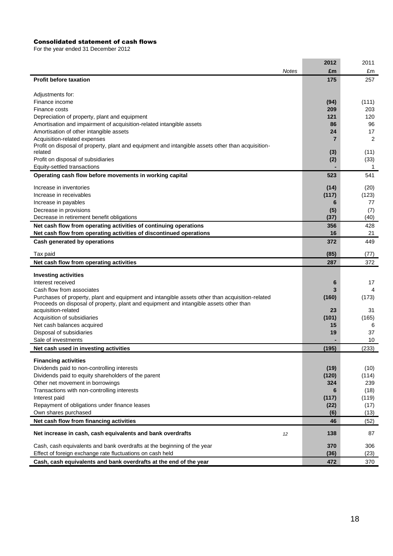#### Consolidated statement of cash flows

For the year ended 31 December 2012

|                                                                                                                                                                                           |              | 2012  | 2011  |
|-------------------------------------------------------------------------------------------------------------------------------------------------------------------------------------------|--------------|-------|-------|
|                                                                                                                                                                                           | <b>Notes</b> | £m    | £m    |
| <b>Profit before taxation</b>                                                                                                                                                             |              | 175   | 257   |
|                                                                                                                                                                                           |              |       |       |
| Adjustments for:                                                                                                                                                                          |              |       |       |
| Finance income                                                                                                                                                                            |              | (94)  | (111) |
| Finance costs                                                                                                                                                                             |              | 209   | 203   |
| Depreciation of property, plant and equipment                                                                                                                                             |              | 121   | 120   |
| Amortisation and impairment of acquisition-related intangible assets                                                                                                                      |              | 86    | 96    |
| Amortisation of other intangible assets                                                                                                                                                   |              | 24    | 17    |
| Acquisition-related expenses<br>Profit on disposal of property, plant and equipment and intangible assets other than acquisition-                                                         |              | 7     | 2     |
| related                                                                                                                                                                                   |              | (3)   | (11)  |
| Profit on disposal of subsidiaries                                                                                                                                                        |              | (2)   | (33)  |
| Equity-settled transactions                                                                                                                                                               |              |       | -1    |
| Operating cash flow before movements in working capital                                                                                                                                   |              | 523   | 541   |
| Increase in inventories                                                                                                                                                                   |              | (14)  | (20)  |
| Increase in receivables                                                                                                                                                                   |              | (117) | (123) |
| Increase in payables                                                                                                                                                                      |              | 6     | 77    |
| Decrease in provisions                                                                                                                                                                    |              | (5)   | (7)   |
| Decrease in retirement benefit obligations                                                                                                                                                |              | (37)  | (40)  |
| Net cash flow from operating activities of continuing operations                                                                                                                          |              | 356   | 428   |
| Net cash flow from operating activities of discontinued operations                                                                                                                        |              | 16    | 21    |
| Cash generated by operations                                                                                                                                                              |              | 372   | 449   |
| Tax paid                                                                                                                                                                                  |              | (85)  | (77)  |
| Net cash flow from operating activities                                                                                                                                                   |              | 287   | 372   |
|                                                                                                                                                                                           |              |       |       |
| <b>Investing activities</b>                                                                                                                                                               |              |       |       |
| Interest received                                                                                                                                                                         |              | 6     | 17    |
| Cash flow from associates                                                                                                                                                                 |              |       | 4     |
| Purchases of property, plant and equipment and intangible assets other than acquisition-related<br>Proceeds on disposal of property, plant and equipment and intangible assets other than |              | (160) | (173) |
| acquisition-related                                                                                                                                                                       |              | 23    | 31    |
| Acquisition of subsidiaries                                                                                                                                                               |              | (101) | (165) |
| Net cash balances acquired                                                                                                                                                                |              | 15    | 6     |
| Disposal of subsidiaries                                                                                                                                                                  |              | 19    | 37    |
| Sale of investments                                                                                                                                                                       |              |       | 10    |
| Net cash used in investing activities                                                                                                                                                     |              | (195) | (233) |
| <b>Financing activities</b>                                                                                                                                                               |              |       |       |
| Dividends paid to non-controlling interests                                                                                                                                               |              | (19)  | (10)  |
| Dividends paid to equity shareholders of the parent                                                                                                                                       |              | (120) | (114) |
| Other net movement in borrowings                                                                                                                                                          |              | 324   | 239   |
| Transactions with non-controlling interests                                                                                                                                               |              | 6     | (18)  |
| Interest paid                                                                                                                                                                             |              | (117) | (119) |
| Repayment of obligations under finance leases                                                                                                                                             |              | (22)  | (17)  |
| Own shares purchased                                                                                                                                                                      |              | (6)   | (13)  |
| Net cash flow from financing activities                                                                                                                                                   |              | 46    | (52)  |
| Net increase in cash, cash equivalents and bank overdrafts<br>12                                                                                                                          |              | 138   | 87    |
| Cash, cash equivalents and bank overdrafts at the beginning of the year                                                                                                                   |              | 370   | 306   |
| Effect of foreign exchange rate fluctuations on cash held                                                                                                                                 |              | (36)  | (23)  |
| Cash, cash equivalents and bank overdrafts at the end of the year                                                                                                                         |              | 472   | 370   |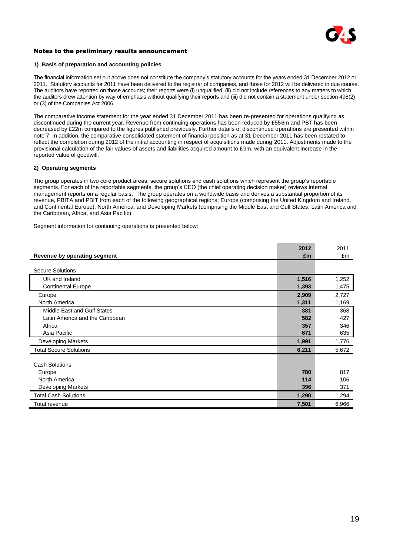

#### Notes to the preliminary results announcement

#### **1) Basis of preparation and accounting policies**

The financial information set out above does not constitute the company's statutory accounts for the years ended 31 December 2012 or 2011. Statutory accounts for 2011 have been delivered to the registrar of companies, and those for 2012 will be delivered in due course. The auditors have reported on those accounts; their reports were (i) unqualified, (ii) did not include references to any matters to which the auditors drew attention by way of emphasis without qualifying their reports and (iii) did not contain a statement under section 498(2) or (3) of the Companies Act 2006.

The comparative income statement for the year ended 31 December 2011 has been re-presented for operations qualifying as discontinued during the current year. Revenue from continuing operations has been reduced by £556m and PBT has been decreased by £22m compared to the figures published previously. Further details of discontinued operations are presented within note 7. In addition, the comparative consolidated statement of financial position as at 31 December 2011 has been restated to reflect the completion during 2012 of the initial accounting in respect of acquisitions made during 2011. Adjustments made to the provisional calculation of the fair values of assets and liabilities acquired amount to £9m, with an equivalent increase in the reported value of goodwill.

#### **2) Operating segments**

The group operates in two core product areas: secure solutions and cash solutions which represent the group's reportable segments. For each of the reportable segments, the group's CEO (the chief operating decision maker) reviews internal management reports on a regular basis. The group operates on a worldwide basis and derives a substantial proportion of its revenue, PBITA and PBIT from each of the following geographical regions: Europe (comprising the United Kingdom and Ireland, and Continental Europe), North America, and Developing Markets (comprising the Middle East and Gulf States, Latin America and the Caribbean, Africa, and Asia Pacific).

Segment information for continuing operations is presented below:

|                                 | 2012  | 2011  |
|---------------------------------|-------|-------|
| Revenue by operating segment    | £m    | £m    |
|                                 |       |       |
| <b>Secure Solutions</b>         |       |       |
| UK and Ireland                  | 1,516 | 1,252 |
| <b>Continental Europe</b>       | 1,393 | 1,475 |
| Europe                          | 2,909 | 2,727 |
| North America                   | 1,311 | 1,169 |
| Middle East and Gulf States     | 381   | 368   |
| Latin America and the Caribbean | 582   | 427   |
| Africa                          | 357   | 346   |
| Asia Pacific                    | 671   | 635   |
| Developing Markets              | 1,991 | 1,776 |
| <b>Total Secure Solutions</b>   | 6,211 | 5,672 |
| <b>Cash Solutions</b>           |       |       |
| Europe                          | 780   | 817   |
| North America                   | 114   | 106   |
|                                 | 396   | 371   |
| <b>Developing Markets</b>       |       |       |
| <b>Total Cash Solutions</b>     | 1,290 | 1,294 |
| Total revenue                   | 7,501 | 6,966 |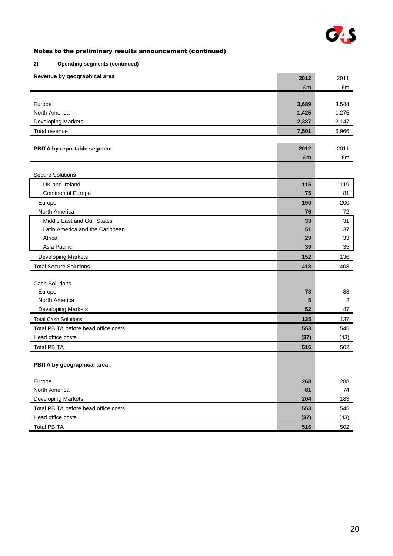

# **2) Operating segments (continued)**

| Revenue by geographical area         | 2012  | 2011  |
|--------------------------------------|-------|-------|
|                                      | £m    | £m    |
|                                      |       |       |
| Europe                               | 3,689 | 3,544 |
| North America                        | 1,425 | 1,275 |
| Developing Markets                   | 2,387 | 2,147 |
| Total revenue                        | 7,501 | 6,966 |
|                                      |       |       |
| PBITA by reportable segment          | 2012  | 2011  |
|                                      | £m    | £m    |
| <b>Secure Solutions</b>              |       |       |
| UK and Ireland                       | 115   | 119   |
| <b>Continental Europe</b>            | 75    | 81    |
| Europe                               | 190   | 200   |
| North America                        | 76    | 72    |
| Middle East and Gulf States          | 33    | 31    |
| Latin America and the Caribbean      | 51    | 37    |
| Africa                               | 29    | 33    |
| Asia Pacific                         | 39    | 35    |
| Developing Markets                   | 152   | 136   |
| <b>Total Secure Solutions</b>        | 418   | 408   |
|                                      |       |       |
| <b>Cash Solutions</b>                |       |       |
| Europe                               | 78    | 88    |
| North America                        | 5     | 2     |
| Developing Markets                   | 52    | 47    |
| <b>Total Cash Solutions</b>          | 135   | 137   |
| Total PBITA before head office costs | 553   | 545   |
| Head office costs                    | (37)  | (43)  |
| <b>Total PBITA</b>                   | 516   | 502   |
|                                      |       |       |
| PBITA by geographical area           |       |       |
| Europe                               | 268   | 288   |
| North America                        | 81    | 74    |
| <b>Developing Markets</b>            | 204   | 183   |
| Total PBITA before head office costs | 553   | 545   |
| Head office costs                    | (37)  | (43)  |
| <b>Total PBITA</b>                   | 516   | 502   |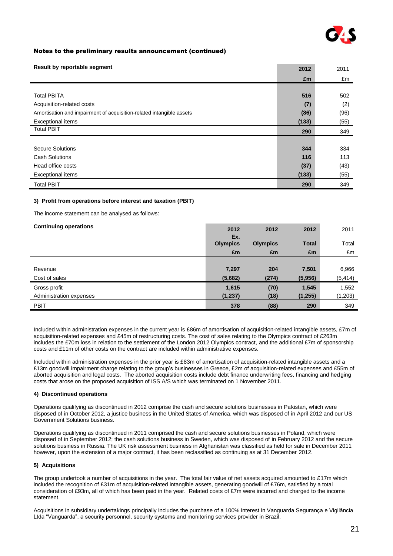

| Result by reportable segment                                         | 2012  | 2011 |
|----------------------------------------------------------------------|-------|------|
|                                                                      | £m    | £m   |
|                                                                      |       |      |
| <b>Total PBITA</b>                                                   | 516   | 502  |
| Acquisition-related costs                                            | (7)   | (2)  |
| Amortisation and impairment of acquisition-related intangible assets | (86)  | (96) |
| Exceptional items                                                    | (133) | (55) |
| <b>Total PBIT</b>                                                    | 290   | 349  |
|                                                                      |       |      |
| <b>Secure Solutions</b>                                              | 344   | 334  |
| <b>Cash Solutions</b>                                                | 116   | 113  |
| Head office costs                                                    | (37)  | (43) |
| <b>Exceptional items</b>                                             | (133) | (55) |
| <b>Total PBIT</b>                                                    | 290   | 349  |

#### **3) Profit from operations before interest and taxation (PBIT)**

The income statement can be analysed as follows:

| <b>Continuing operations</b> | 2012<br>Ex.     | 2012            | 2012         | 2011     |
|------------------------------|-----------------|-----------------|--------------|----------|
|                              | <b>Olympics</b> | <b>Olympics</b> | <b>Total</b> | Total    |
|                              | £m              | £m              | £m           | £m       |
|                              |                 |                 |              |          |
| Revenue                      | 7,297           | 204             | 7,501        | 6,966    |
| Cost of sales                | (5,682)         | (274)           | (5,956)      | (5, 414) |
| Gross profit                 | 1,615           | (70)            | 1,545        | 1,552    |
| Administration expenses      | (1, 237)        | (18)            | (1, 255)     | (1, 203) |
| <b>PBIT</b>                  | 378             | (88)            | 290          | 349      |

Included within administration expenses in the current year is £86m of amortisation of acquisition-related intangible assets, £7m of acquisition-related expenses and £45m of restructuring costs. The cost of sales relating to the Olympics contract of £263m includes the £70m loss in relation to the settlement of the London 2012 Olympics contract, and the additional £7m of sponsorship costs and £11m of other costs on the contract are included within administrative expenses.

Included within administration expenses in the prior year is £83m of amortisation of acquisition-related intangible assets and a £13m goodwill impairment charge relating to the group's businesses in Greece, £2m of acquisition-related expenses and £55m of aborted acquisition and legal costs. The aborted acquisition costs include debt finance underwriting fees, financing and hedging costs that arose on the proposed acquisition of ISS A/S which was terminated on 1 November 2011.

#### **4) Discontinued operations**

Operations qualifying as discontinued in 2012 comprise the cash and secure solutions businesses in Pakistan, which were disposed of in October 2012, a justice business in the United States of America, which was disposed of in April 2012 and our US Government Solutions business.

Operations qualifying as discontinued in 2011 comprised the cash and secure solutions businesses in Poland, which were disposed of in September 2012; the cash solutions business in Sweden, which was disposed of in February 2012 and the secure solutions business in Russia. The UK risk assessment business in Afghanistan was classified as held for sale in December 2011 however, upon the extension of a major contract, it has been reclassified as continuing as at 31 December 2012.

#### **5) Acquisitions**

The group undertook a number of acquisitions in the year. The total fair value of net assets acquired amounted to £17m which included the recognition of £31m of acquisition-related intangible assets, generating goodwill of £76m, satisfied by a total consideration of £93m, all of which has been paid in the year. Related costs of £7m were incurred and charged to the income statement.

Acquisitions in subsidiary undertakings principally includes the purchase of a 100% interest in Vanguarda Segurança e Vigilância Ltda "Vanguarda", a security personnel, security systems and monitoring services provider in Brazil.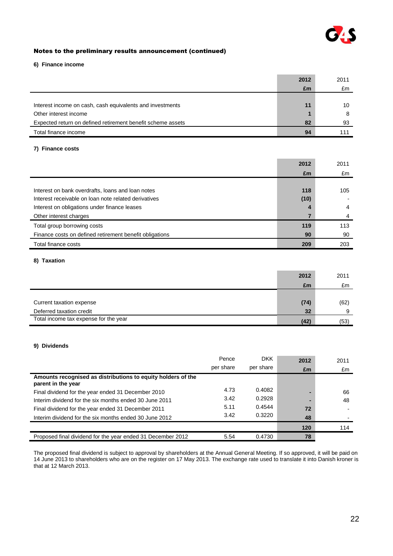

#### **6) Finance income**

|                                                             | 2012 | 2011 |
|-------------------------------------------------------------|------|------|
|                                                             | £m   | £m   |
|                                                             |      |      |
| Interest income on cash, cash equivalents and investments   | 11   | 10   |
| Other interest income                                       |      |      |
| Expected return on defined retirement benefit scheme assets | 82   | 93   |
| Total finance income                                        | 94   | 111  |

# **7) Finance costs**

|                                                         | 2012 | 2011 |
|---------------------------------------------------------|------|------|
|                                                         | £m   | £m   |
|                                                         |      |      |
| Interest on bank overdrafts, loans and loan notes       | 118  | 105  |
| Interest receivable on loan note related derivatives    | (10) |      |
| Interest on obligations under finance leases            | 4    | 4    |
| Other interest charges                                  |      | 4    |
| Total group borrowing costs                             | 119  | 113  |
| Finance costs on defined retirement benefit obligations | 90   | 90   |
| Total finance costs                                     | 209  | 203  |

#### **8) Taxation**

|                                       | 2012 | 2011 |
|---------------------------------------|------|------|
|                                       | £m   | £m   |
|                                       |      |      |
| Current taxation expense              | (74) | (62) |
| Deferred taxation credit              | 32   | q    |
| Total income tax expense for the year | (42) | (53) |

#### **9) Dividends**

|                                                                                    | Pence     | <b>DKK</b> | 2012 | 2011 |
|------------------------------------------------------------------------------------|-----------|------------|------|------|
|                                                                                    | per share | per share  | £m   | £m   |
| Amounts recognised as distributions to equity holders of the<br>parent in the year |           |            |      |      |
| Final dividend for the year ended 31 December 2010                                 | 4.73      | 0.4082     |      | 66   |
| Interim dividend for the six months ended 30 June 2011                             | 3.42      | 0.2928     | -    | 48   |
| Final dividend for the year ended 31 December 2011                                 | 5.11      | 0.4544     | 72   |      |
| Interim dividend for the six months ended 30 June 2012                             | 3.42      | 0.3220     | 48   |      |
|                                                                                    |           |            | 120  | 114  |
| Proposed final dividend for the year ended 31 December 2012                        | 5.54      | 0.4730     | 78   |      |

The proposed final dividend is subject to approval by shareholders at the Annual General Meeting. If so approved, it will be paid on 14 June 2013 to shareholders who are on the register on 17 May 2013. The exchange rate used to translate it into Danish kroner is that at 12 March 2013.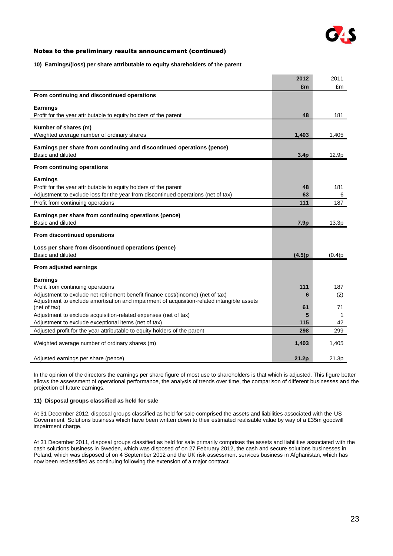

#### **10) Earnings/(loss) per share attributable to equity shareholders of the parent**

|                                                                                            | 2012             | 2011   |
|--------------------------------------------------------------------------------------------|------------------|--------|
|                                                                                            | £m               | £m     |
| From continuing and discontinued operations                                                |                  |        |
| Earnings                                                                                   |                  |        |
| Profit for the year attributable to equity holders of the parent                           | 48               | 181    |
|                                                                                            |                  |        |
| Number of shares (m)                                                                       |                  |        |
| Weighted average number of ordinary shares                                                 | 1,403            | 1,405  |
| Earnings per share from continuing and discontinued operations (pence)                     |                  |        |
| Basic and diluted                                                                          | 3.4 <sub>p</sub> | 12.9p  |
|                                                                                            |                  |        |
| From continuing operations                                                                 |                  |        |
| Earnings                                                                                   |                  |        |
| Profit for the year attributable to equity holders of the parent                           | 48               | 181    |
| Adjustment to exclude loss for the year from discontinued operations (net of tax)          | 63               | 6      |
| Profit from continuing operations                                                          | 111              | 187    |
|                                                                                            |                  |        |
| Earnings per share from continuing operations (pence)                                      |                  |        |
| Basic and diluted                                                                          | 7.9p             | 13.3p  |
| From discontinued operations                                                               |                  |        |
| Loss per share from discontinued operations (pence)                                        |                  |        |
| Basic and diluted                                                                          | (4.5)p           | (0.4)p |
|                                                                                            |                  |        |
| From adjusted earnings                                                                     |                  |        |
| Earnings                                                                                   |                  |        |
| Profit from continuing operations                                                          | 111              | 187    |
| Adjustment to exclude net retirement benefit finance cost/(income) (net of tax)            | 6                | (2)    |
| Adjustment to exclude amortisation and impairment of acquisition-related intangible assets |                  |        |
| (net of tax)                                                                               | 61               | 71     |
| Adjustment to exclude acquisition-related expenses (net of tax)                            | 5                | 1      |
| Adjustment to exclude exceptional items (net of tax)                                       | 115              | 42     |
| Adjusted profit for the year attributable to equity holders of the parent                  | 298              | 299    |
| Weighted average number of ordinary shares (m)                                             | 1,403            | 1,405  |
|                                                                                            |                  |        |
| Adjusted earnings per share (pence)                                                        | 21.2p            | 21.3p  |

In the opinion of the directors the earnings per share figure of most use to shareholders is that which is adjusted. This figure better allows the assessment of operational performance, the analysis of trends over time, the comparison of different businesses and the projection of future earnings.

#### **11) Disposal groups classified as held for sale**

At 31 December 2012, disposal groups classified as held for sale comprised the assets and liabilities associated with the US Government Solutions business which have been written down to their estimated realisable value by way of a £35m goodwill impairment charge.

At 31 December 2011, disposal groups classified as held for sale primarily comprises the assets and liabilities associated with the cash solutions business in Sweden, which was disposed of on 27 February 2012, the cash and secure solutions businesses in Poland, which was disposed of on 4 September 2012 and the UK risk assessment services business in Afghanistan, which has now been reclassified as continuing following the extension of a major contract.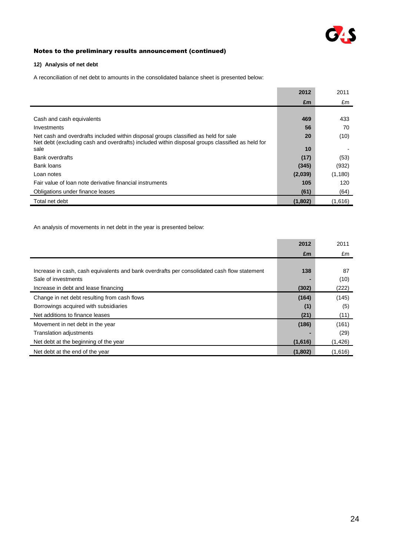

#### **12) Analysis of net debt**

A reconciliation of net debt to amounts in the consolidated balance sheet is presented below:

|                                                                                                                                                                                        | 2012    | 2011     |
|----------------------------------------------------------------------------------------------------------------------------------------------------------------------------------------|---------|----------|
|                                                                                                                                                                                        | £m      | £m       |
|                                                                                                                                                                                        |         |          |
| Cash and cash equivalents                                                                                                                                                              | 469     | 433      |
| Investments                                                                                                                                                                            | 56      | 70       |
| Net cash and overdrafts included within disposal groups classified as held for sale<br>Net debt (excluding cash and overdrafts) included within disposal groups classified as held for | 20      | (10)     |
| sale                                                                                                                                                                                   | 10      |          |
| Bank overdrafts                                                                                                                                                                        | (17)    | (53)     |
| Bank loans                                                                                                                                                                             | (345)   | (932)    |
| Loan notes                                                                                                                                                                             | (2,039) | (1, 180) |
| Fair value of loan note derivative financial instruments                                                                                                                               | 105     | 120      |
| Obligations under finance leases                                                                                                                                                       | (61)    | (64)     |
| Total net debt                                                                                                                                                                         | (1,802) | (1,616)  |

An analysis of movements in net debt in the year is presented below:

|                                                                                             | 2012    | 2011     |
|---------------------------------------------------------------------------------------------|---------|----------|
|                                                                                             | £m      | £m       |
|                                                                                             |         |          |
| Increase in cash, cash equivalents and bank overdrafts per consolidated cash flow statement | 138     | 87       |
| Sale of investments                                                                         |         | (10)     |
| Increase in debt and lease financing                                                        | (302)   | (222)    |
| Change in net debt resulting from cash flows                                                | (164)   | (145)    |
| Borrowings acquired with subsidiaries                                                       | (1)     | (5)      |
| Net additions to finance leases                                                             | (21)    | (11)     |
| Movement in net debt in the year                                                            | (186)   | (161)    |
| <b>Translation adjustments</b>                                                              |         | (29)     |
| Net debt at the beginning of the year                                                       | (1,616) | (1, 426) |
| Net debt at the end of the year                                                             | (1,802) | (1,616)  |